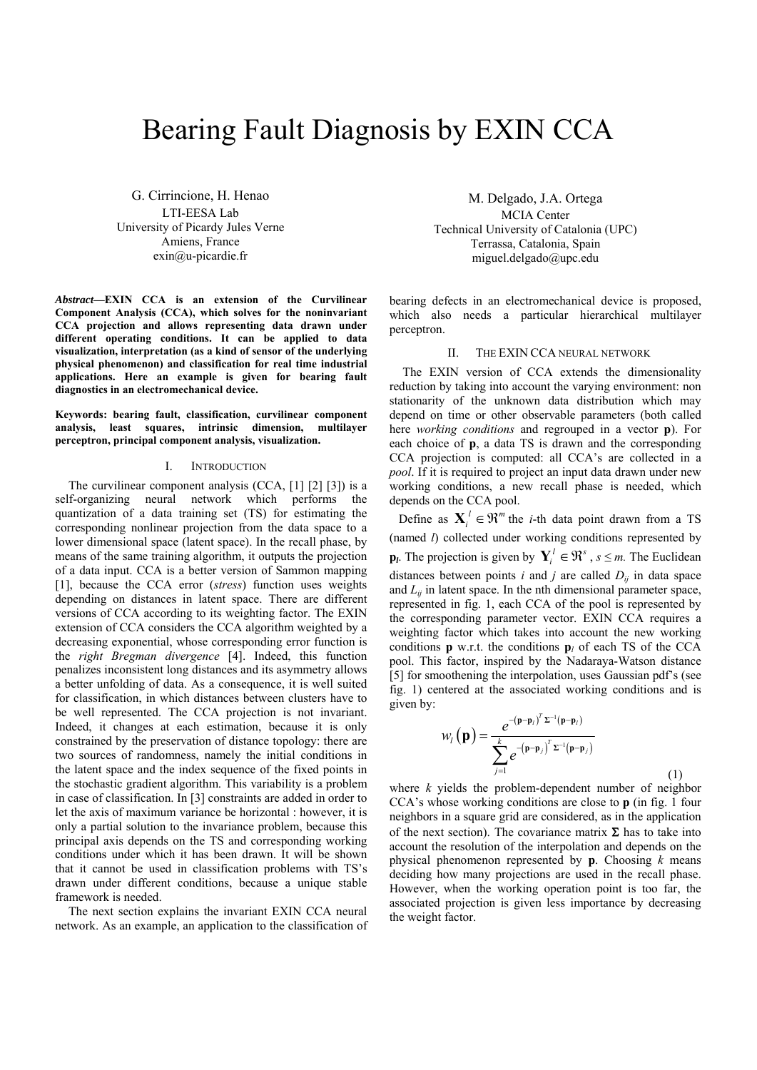# Bearing Fault Diagnosis by EXIN CCA

G. Cirrincione, H. Henao LTI-EESA Lab University of Picardy Jules Verne Amiens, France exin@u-picardie.fr

*Abstract***—EXIN CCA is an extension of the Curvilinear Component Analysis (CCA), which solves for the noninvariant CCA projection and allows representing data drawn under different operating conditions. It can be applied to data visualization, interpretation (as a kind of sensor of the underlying physical phenomenon) and classification for real time industrial applications. Here an example is given for bearing fault diagnostics in an electromechanical device.** 

**Keywords: bearing fault, classification, curvilinear component analysis, least squares, intrinsic dimension, multilayer perceptron, principal component analysis, visualization.** 

## I. INTRODUCTION

The curvilinear component analysis (CCA, [1] [2] [3]) is a self-organizing neural network which performs the quantization of a data training set (TS) for estimating the corresponding nonlinear projection from the data space to a lower dimensional space (latent space). In the recall phase, by means of the same training algorithm, it outputs the projection of a data input. CCA is a better version of Sammon mapping [1], because the CCA error (*stress*) function uses weights depending on distances in latent space. There are different versions of CCA according to its weighting factor. The EXIN extension of CCA considers the CCA algorithm weighted by a decreasing exponential, whose corresponding error function is the *right Bregman divergence* [4]. Indeed, this function penalizes inconsistent long distances and its asymmetry allows a better unfolding of data. As a consequence, it is well suited for classification, in which distances between clusters have to be well represented. The CCA projection is not invariant. Indeed, it changes at each estimation, because it is only constrained by the preservation of distance topology: there are two sources of randomness, namely the initial conditions in the latent space and the index sequence of the fixed points in the stochastic gradient algorithm. This variability is a problem in case of classification. In [3] constraints are added in order to let the axis of maximum variance be horizontal : however, it is only a partial solution to the invariance problem, because this principal axis depends on the TS and corresponding working conditions under which it has been drawn. It will be shown that it cannot be used in classification problems with TS's drawn under different conditions, because a unique stable framework is needed.

The next section explains the invariant EXIN CCA neural network. As an example, an application to the classification of

M. Delgado, J.A. Ortega MCIA Center Technical University of Catalonia (UPC) Terrassa, Catalonia, Spain miguel.delgado@upc.edu

bearing defects in an electromechanical device is proposed, which also needs a particular hierarchical multilayer perceptron.

## II. THE EXIN CCA NEURAL NETWORK

The EXIN version of CCA extends the dimensionality reduction by taking into account the varying environment: non stationarity of the unknown data distribution which may depend on time or other observable parameters (both called here *working conditions* and regrouped in a vector **p**). For each choice of **p**, a data TS is drawn and the corresponding CCA projection is computed: all CCA's are collected in a *pool*. If it is required to project an input data drawn under new working conditions, a new recall phase is needed, which depends on the CCA pool.

Define as  $\mathbf{X}_i^l \in \mathbb{R}^m$  the *i*-th data point drawn from a TS (named *l*) collected under working conditions represented by **p**<sub>*l*</sub>. The projection is given by  $Y_i^l \in \mathbb{R}^s$ ,  $s \leq m$ . The Euclidean distances between points *i* and *j* are called  $D_{ij}$  in data space and  $L_{ij}$  in latent space. In the nth dimensional parameter space, represented in fig. 1, each CCA of the pool is represented by the corresponding parameter vector. EXIN CCA requires a weighting factor which takes into account the new working conditions **p** w.r.t. the conditions  $\mathbf{p}_l$  of each TS of the CCA pool. This factor, inspired by the Nadaraya-Watson distance [5] for smoothening the interpolation, uses Gaussian pdf's (see fig. 1) centered at the associated working conditions and is given by:

$$
w_i(\mathbf{p}) = \frac{e^{-(\mathbf{p}-\mathbf{p}_i)^T \Sigma^{-1}(\mathbf{p}-\mathbf{p}_i)}}{\sum_{j=1}^k e^{-(\mathbf{p}-\mathbf{p}_j)^T \Sigma^{-1}(\mathbf{p}-\mathbf{p}_j)}}
$$
(1)

where *k* yields the problem-dependent number of neighbor CCA's whose working conditions are close to **p** (in fig. 1 four neighbors in a square grid are considered, as in the application of the next section). The covariance matrix  $\Sigma$  has to take into account the resolution of the interpolation and depends on the physical phenomenon represented by **p**. Choosing *k* means deciding how many projections are used in the recall phase. However, when the working operation point is too far, the associated projection is given less importance by decreasing the weight factor.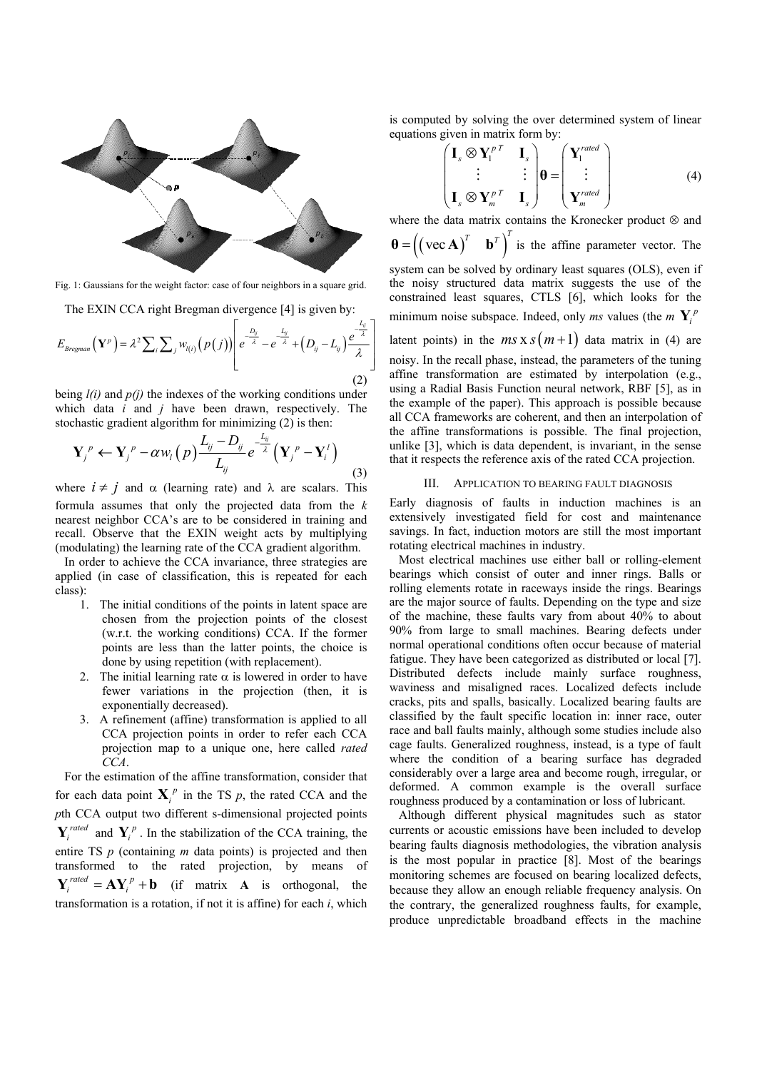

Fig. 1: Gaussians for the weight factor: case of four neighbors in a square grid.

The EXIN CCA right Bregman divergence [4] is given by:

$$
E_{Bregman}(\mathbf{Y}^p) = \lambda^2 \sum_{i} \sum_{j} w_{l(i)}(p(j)) \left[ e^{-\frac{D_{ij}}{\lambda}} - e^{-\frac{L_{ij}}{\lambda}} + (D_{ij} - L_{ij}) \frac{e^{-\frac{L_{ij}}{\lambda}}}{\lambda} \right]
$$
\n(2)

being *l(i)* and *p(j)* the indexes of the working conditions under which data *i* and *j* have been drawn, respectively. The stochastic gradient algorithm for minimizing (2) is then:

$$
\mathbf{Y}_{j}^{p} \leftarrow \mathbf{Y}_{j}^{p} - \alpha w_{l} \left( p \right) \frac{L_{ij} - D_{ij}}{L_{ij}} e^{-\frac{L_{ij}}{\lambda}} \left( \mathbf{Y}_{j}^{p} - \mathbf{Y}_{i}^{l} \right) \tag{3}
$$

where  $i \neq j$  and  $\alpha$  (learning rate) and  $\lambda$  are scalars. This formula assumes that only the projected data from the *k* nearest neighbor CCA's are to be considered in training and recall. Observe that the EXIN weight acts by multiplying (modulating) the learning rate of the CCA gradient algorithm.

 In order to achieve the CCA invariance, three strategies are applied (in case of classification, this is repeated for each class):

- 1. The initial conditions of the points in latent space are chosen from the projection points of the closest (w.r.t. the working conditions) CCA. If the former points are less than the latter points, the choice is done by using repetition (with replacement).
- 2. The initial learning rate  $\alpha$  is lowered in order to have fewer variations in the projection (then, it is exponentially decreased).
- 3. A refinement (affine) transformation is applied to all CCA projection points in order to refer each CCA projection map to a unique one, here called *rated CCA*.

 For the estimation of the affine transformation, consider that for each data point  $X_i^p$  in the TS p, the rated CCA and the *p*th CCA output two different s-dimensional projected points  $Y_i^{rated}$  and  $Y_i^p$ . In the stabilization of the CCA training, the entire TS *p* (containing *m* data points) is projected and then transformed to the rated projection, by means of  $Y_i^{rated} = AY_i^p + b$  (if matrix A is orthogonal, the transformation is a rotation, if not it is affine) for each *i*, which

is computed by solving the over determined system of linear equations given in matrix form by:

$$
\begin{pmatrix} \mathbf{I}_s \otimes \mathbf{Y}_1^{p \, T} & \mathbf{I}_s \\ \vdots & \vdots \\ \mathbf{I}_s \otimes \mathbf{Y}_m^{p \, T} & \mathbf{I}_s \end{pmatrix} \boldsymbol{\theta} = \begin{pmatrix} \mathbf{Y}_1^{rated} \\ \vdots \\ \mathbf{Y}_m^{rated} \end{pmatrix}
$$
 (4)

where the data matrix contains the Kronecker product  $\otimes$  and  $\mathbf{\theta} = \left(\left(\nabla \mathbf{e} \mathbf{c} \mathbf{A}\right)^{T} \mathbf{b}^{T}\right)^{T}$  is the affine parameter vector. The system can be solved by ordinary least squares (OLS), even if the noisy structured data matrix suggests the use of the constrained least squares, CTLS [6], which looks for the minimum noise subspace. Indeed, only *ms* values (the *m*  $Y_i^p$ 

latent points) in the  $ms \times s(m+1)$  data matrix in (4) are noisy. In the recall phase, instead, the parameters of the tuning affine transformation are estimated by interpolation (e.g., using a Radial Basis Function neural network, RBF [5], as in the example of the paper). This approach is possible because all CCA frameworks are coherent, and then an interpolation of the affine transformations is possible. The final projection, unlike [3], which is data dependent, is invariant, in the sense that it respects the reference axis of the rated CCA projection.

#### III. APPLICATION TO BEARING FAULT DIAGNOSIS

Early diagnosis of faults in induction machines is an extensively investigated field for cost and maintenance savings. In fact, induction motors are still the most important rotating electrical machines in industry.

 Most electrical machines use either ball or rolling-element bearings which consist of outer and inner rings. Balls or rolling elements rotate in raceways inside the rings. Bearings are the major source of faults. Depending on the type and size of the machine, these faults vary from about 40% to about 90% from large to small machines. Bearing defects under normal operational conditions often occur because of material fatigue. They have been categorized as distributed or local [7]. Distributed defects include mainly surface roughness, waviness and misaligned races. Localized defects include cracks, pits and spalls, basically. Localized bearing faults are classified by the fault specific location in: inner race, outer race and ball faults mainly, although some studies include also cage faults. Generalized roughness, instead, is a type of fault where the condition of a bearing surface has degraded considerably over a large area and become rough, irregular, or deformed. A common example is the overall surface roughness produced by a contamination or loss of lubricant.

 Although different physical magnitudes such as stator currents or acoustic emissions have been included to develop bearing faults diagnosis methodologies, the vibration analysis is the most popular in practice [8]. Most of the bearings monitoring schemes are focused on bearing localized defects, because they allow an enough reliable frequency analysis. On the contrary, the generalized roughness faults, for example, produce unpredictable broadband effects in the machine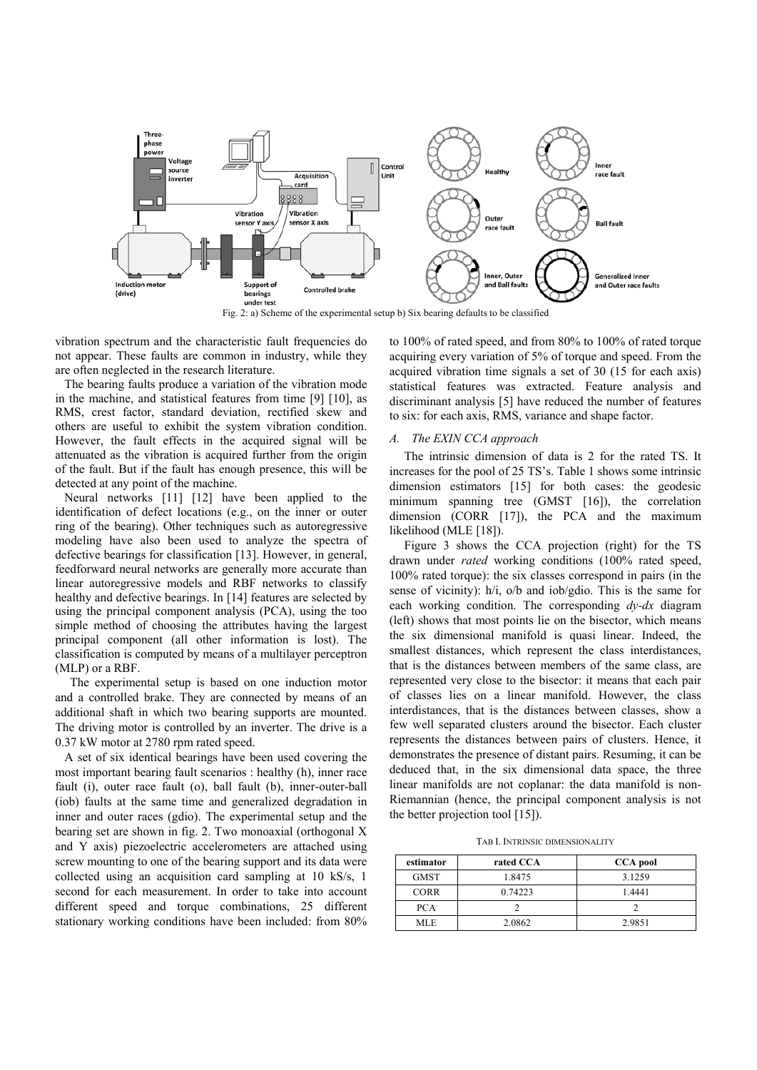

Fig. 2: a) Scheme of the experimental setup b) Six bearing defaults to be classified

vibration spectrum and the characteristic fault frequencies do not appear. These faults are common in industry, while they are often neglected in the research literature.

 The bearing faults produce a variation of the vibration mode in the machine, and statistical features from time [9] [10], as RMS, crest factor, standard deviation, rectified skew and others are useful to exhibit the system vibration condition. However, the fault effects in the acquired signal will be attenuated as the vibration is acquired further from the origin of the fault. But if the fault has enough presence, this will be detected at any point of the machine.

 Neural networks [11] [12] have been applied to the identification of defect locations (e.g., on the inner or outer ring of the bearing). Other techniques such as autoregressive modeling have also been used to analyze the spectra of defective bearings for classification [13]. However, in general, feedforward neural networks are generally more accurate than linear autoregressive models and RBF networks to classify healthy and defective bearings. In [14] features are selected by using the principal component analysis (PCA), using the too simple method of choosing the attributes having the largest principal component (all other information is lost). The classification is computed by means of a multilayer perceptron (MLP) or a RBF.

The experimental setup is based on one induction motor and a controlled brake. They are connected by means of an additional shaft in which two bearing supports are mounted. The driving motor is controlled by an inverter. The drive is a 0.37 kW motor at 2780 rpm rated speed.

 A set of six identical bearings have been used covering the most important bearing fault scenarios : healthy (h), inner race fault (i), outer race fault (o), ball fault (b), inner-outer-ball (iob) faults at the same time and generalized degradation in inner and outer races (gdio). The experimental setup and the bearing set are shown in fig. 2. Two monoaxial (orthogonal X and Y axis) piezoelectric accelerometers are attached using screw mounting to one of the bearing support and its data were collected using an acquisition card sampling at 10 kS/s, 1 second for each measurement. In order to take into account different speed and torque combinations, 25 different stationary working conditions have been included: from 80%

to 100% of rated speed, and from 80% to 100% of rated torque acquiring every variation of 5% of torque and speed. From the acquired vibration time signals a set of 30 (15 for each axis) statistical features was extracted. Feature analysis and discriminant analysis [5] have reduced the number of features to six: for each axis, RMS, variance and shape factor.

# *A. The EXIN CCA approach*

The intrinsic dimension of data is 2 for the rated TS. It increases for the pool of 25 TS's. Table 1 shows some intrinsic dimension estimators [15] for both cases: the geodesic minimum spanning tree (GMST [16]), the correlation dimension (CORR [17]), the PCA and the maximum likelihood (MLE [18]).

Figure 3 shows the CCA projection (right) for the TS drawn under *rated* working conditions (100% rated speed, 100% rated torque): the six classes correspond in pairs (in the sense of vicinity): h/i, o/b and iob/gdio. This is the same for each working condition. The corresponding *dy-dx* diagram (left) shows that most points lie on the bisector, which means the six dimensional manifold is quasi linear. Indeed, the smallest distances, which represent the class interdistances, that is the distances between members of the same class, are represented very close to the bisector: it means that each pair of classes lies on a linear manifold. However, the class interdistances, that is the distances between classes, show a few well separated clusters around the bisector. Each cluster represents the distances between pairs of clusters. Hence, it demonstrates the presence of distant pairs. Resuming, it can be deduced that, in the six dimensional data space, the three linear manifolds are not coplanar: the data manifold is non-Riemannian (hence, the principal component analysis is not the better projection tool [15]).

TAB I. INTRINSIC DIMENSIONALITY

| estimator   | rated CCA | <b>CCA</b> pool |
|-------------|-----------|-----------------|
| <b>GMST</b> | 1.8475    | 3.1259          |
| <b>CORR</b> | 0.74223   | 1.4441          |
| <b>PCA</b>  |           |                 |
| MLE.        | 2.0862    | 2.9851          |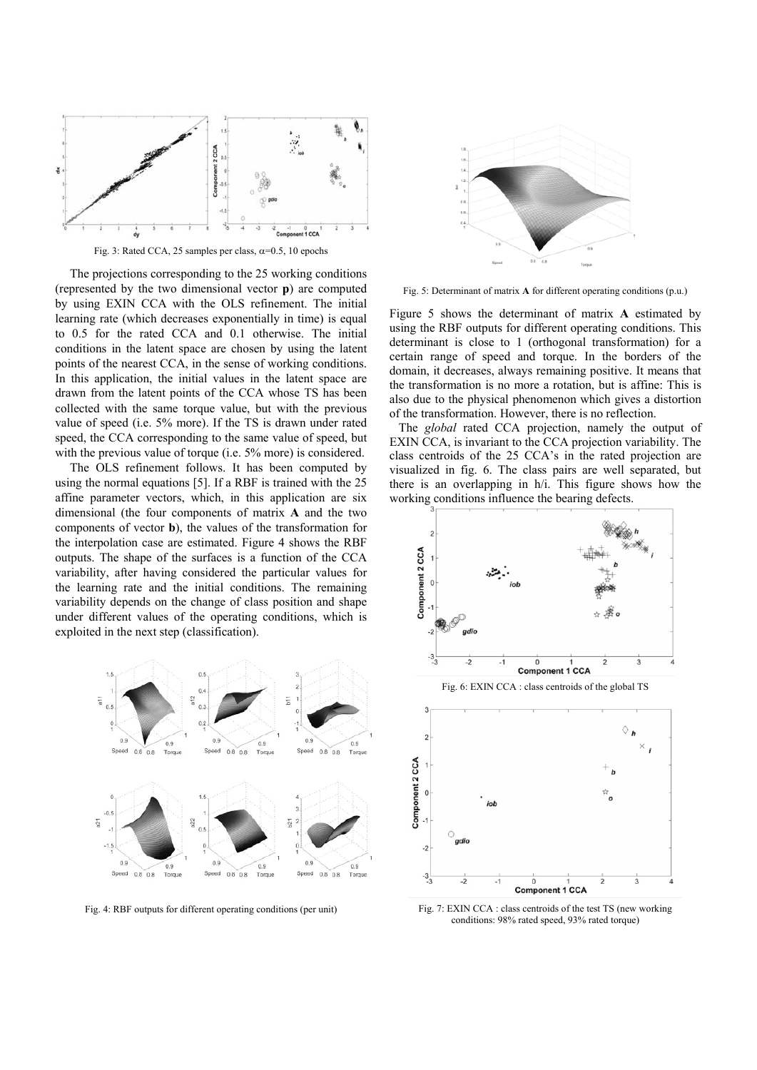

Fig. 3: Rated CCA, 25 samples per class,  $\alpha$ =0.5, 10 epochs

The projections corresponding to the 25 working conditions (represented by the two dimensional vector **p**) are computed by using EXIN CCA with the OLS refinement. The initial learning rate (which decreases exponentially in time) is equal to 0.5 for the rated CCA and 0.1 otherwise. The initial conditions in the latent space are chosen by using the latent points of the nearest CCA, in the sense of working conditions. In this application, the initial values in the latent space are drawn from the latent points of the CCA whose TS has been collected with the same torque value, but with the previous value of speed (i.e. 5% more). If the TS is drawn under rated speed, the CCA corresponding to the same value of speed, but with the previous value of torque (i.e. 5% more) is considered.

The OLS refinement follows. It has been computed by using the normal equations [5]. If a RBF is trained with the 25 affine parameter vectors, which, in this application are six dimensional (the four components of matrix **A** and the two components of vector **b**), the values of the transformation for the interpolation case are estimated. Figure 4 shows the RBF outputs. The shape of the surfaces is a function of the CCA variability, after having considered the particular values for the learning rate and the initial conditions. The remaining variability depends on the change of class position and shape under different values of the operating conditions, which is exploited in the next step (classification).



Fig. 4: RBF outputs for different operating conditions (per unit)



Fig. 5: Determinant of matrix **A** for different operating conditions (p.u.)

Figure 5 shows the determinant of matrix **A** estimated by using the RBF outputs for different operating conditions. This determinant is close to 1 (orthogonal transformation) for a certain range of speed and torque. In the borders of the domain, it decreases, always remaining positive. It means that the transformation is no more a rotation, but is affine: This is also due to the physical phenomenon which gives a distortion of the transformation. However, there is no reflection.

 The *global* rated CCA projection, namely the output of EXIN CCA, is invariant to the CCA projection variability. The class centroids of the 25 CCA's in the rated projection are visualized in fig. 6. The class pairs are well separated, but there is an overlapping in h/i. This figure shows how the working conditions influence the bearing defects.





Fig. 7: EXIN CCA : class centroids of the test TS (new working conditions: 98% rated speed, 93% rated torque)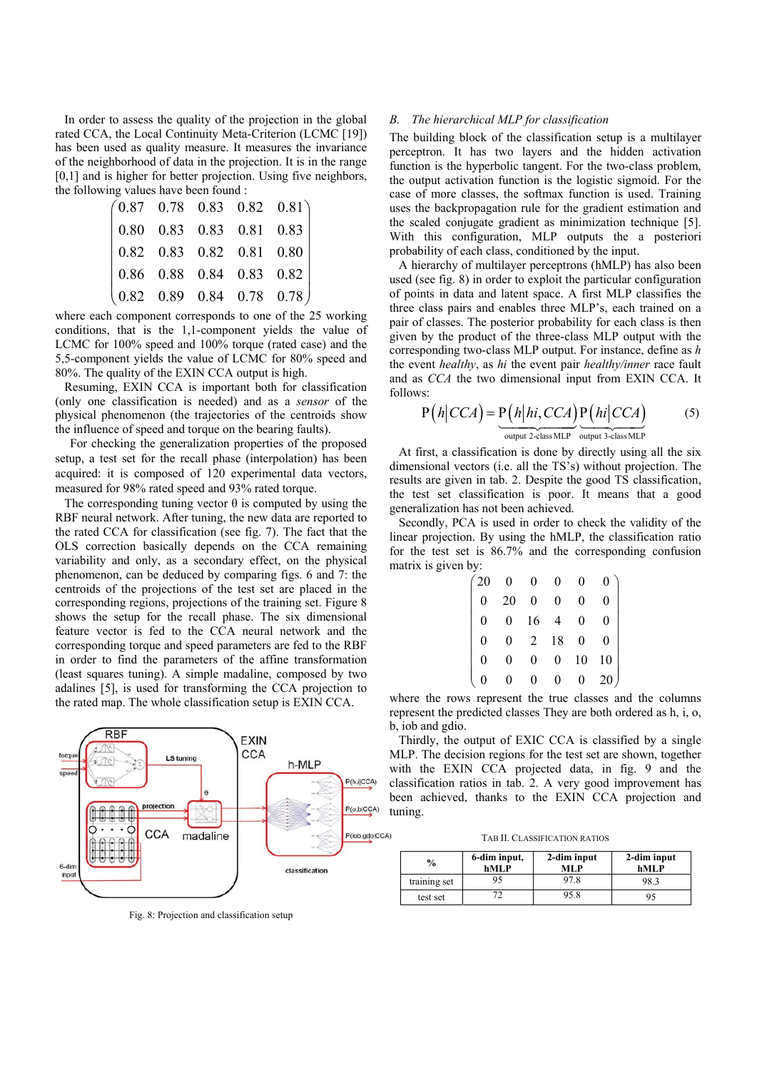In order to assess the quality of the projection in the global rated CCA, the Local Continuity Meta-Criterion (LCMC [19]) has been used as quality measure. It measures the invariance of the neighborhood of data in the projection. It is in the range [0,1] and is higher for better projection. Using five neighbors, the following values have been found :

|                                                                     |  | $(0.87 \t0.78 \t0.83 \t0.82 \t0.81)$ |  |
|---------------------------------------------------------------------|--|--------------------------------------|--|
| $\begin{array}{ ccc } 0.80 & 0.83 & 0.83 & 0.81 & 0.83 \end{array}$ |  |                                      |  |
| $\begin{array}{cccc} 0.82 & 0.83 & 0.82 & 0.81 & 0.80 \end{array}$  |  |                                      |  |
| $\begin{array}{ ccc} 0.86 & 0.88 & 0.84 & 0.83 & 0.82 \end{array}$  |  |                                      |  |
| $(0.82 \t0.89 \t0.84 \t0.78 \t0.78)$                                |  |                                      |  |

where each component corresponds to one of the 25 working conditions, that is the 1,1-component yields the value of LCMC for 100% speed and 100% torque (rated case) and the 5,5-component yields the value of LCMC for 80% speed and 80%. The quality of the EXIN CCA output is high.

 Resuming, EXIN CCA is important both for classification (only one classification is needed) and as a *sensor* of the physical phenomenon (the trajectories of the centroids show the influence of speed and torque on the bearing faults).

For checking the generalization properties of the proposed setup, a test set for the recall phase (interpolation) has been acquired: it is composed of 120 experimental data vectors, measured for 98% rated speed and 93% rated torque.

The corresponding tuning vector  $\theta$  is computed by using the RBF neural network. After tuning, the new data are reported to the rated CCA for classification (see fig. 7). The fact that the OLS correction basically depends on the CCA remaining variability and only, as a secondary effect, on the physical phenomenon, can be deduced by comparing figs. 6 and 7: the centroids of the projections of the test set are placed in the corresponding regions, projections of the training set. Figure 8 shows the setup for the recall phase. The six dimensional feature vector is fed to the CCA neural network and the corresponding torque and speed parameters are fed to the RBF in order to find the parameters of the affine transformation (least squares tuning). A simple madaline, composed by two adalines [5], is used for transforming the CCA projection to the rated map. The whole classification setup is EXIN CCA.



Fig. 8: Projection and classification setup

# *B. The hierarchical MLP for classification*

The building block of the classification setup is a multilayer perceptron. It has two layers and the hidden activation function is the hyperbolic tangent. For the two-class problem, the output activation function is the logistic sigmoid. For the case of more classes, the softmax function is used. Training uses the backpropagation rule for the gradient estimation and the scaled conjugate gradient as minimization technique [5]. With this configuration, MLP outputs the a posteriori probability of each class, conditioned by the input.

 A hierarchy of multilayer perceptrons (hMLP) has also been used (see fig. 8) in order to exploit the particular configuration of points in data and latent space. A first MLP classifies the three class pairs and enables three MLP's, each trained on a pair of classes. The posterior probability for each class is then given by the product of the three-class MLP output with the corresponding two-class MLP output. For instance, define as *h*  the event *healthy*, as *hi* the event pair *healthy/inner* race fault and as *CCA* the two dimensional input from EXIN CCA. It follows:

$$
P(h|CCA) = P(h|hi, CCA) P(hi|CCA)
$$
  
output 2-class MLP output 3-class MLP

 At first, a classification is done by directly using all the six dimensional vectors (i.e. all the TS's) without projection. The results are given in tab. 2. Despite the good TS classification, the test set classification is poor. It means that a good generalization has not been achieved.

 Secondly, PCA is used in order to check the validity of the linear projection. By using the hMLP, the classification ratio for the test set is 86.7% and the corresponding confusion matrix is given by:

| (20)           | $\overline{0}$ | $\overline{0}$ | $\overline{0}$ | $\mathbf{0}$   | $\overline{0}$ |
|----------------|----------------|----------------|----------------|----------------|----------------|
| $\mathbf{0}$   | 20             | $\mathbf{0}$   | $\overline{0}$ | $\overline{0}$ | $\overline{0}$ |
| $\overline{0}$ | $\overline{0}$ | 16             | $\overline{4}$ | $\overline{0}$ | $\overline{0}$ |
| $\overline{0}$ | $\overline{0}$ | $\overline{2}$ | 18             | $\overline{0}$ | $\overline{0}$ |
| $\overline{0}$ | $\overline{0}$ | $\overline{0}$ | $\overline{0}$ | 10             | 10             |
|                |                | $\overline{0}$ | $\overline{0}$ | $\overline{0}$ | 20)            |

where the rows represent the true classes and the columns represent the predicted classes They are both ordered as h, i, o, b, iob and gdio.

 Thirdly, the output of EXIC CCA is classified by a single MLP. The decision regions for the test set are shown, together with the EXIN CCA projected data, in fig. 9 and the classification ratios in tab. 2. A very good improvement has been achieved, thanks to the EXIN CCA projection and tuning.

TAB II. CLASSIFICATION RATIOS

| $\%$         | 6-dim input,<br><b>hMLP</b> | 2-dim input<br>MLP | 2-dim input<br><b>hMLP</b> |
|--------------|-----------------------------|--------------------|----------------------------|
| training set |                             | 97.8               | 98.3                       |
| test set     |                             | 95.8               | 95                         |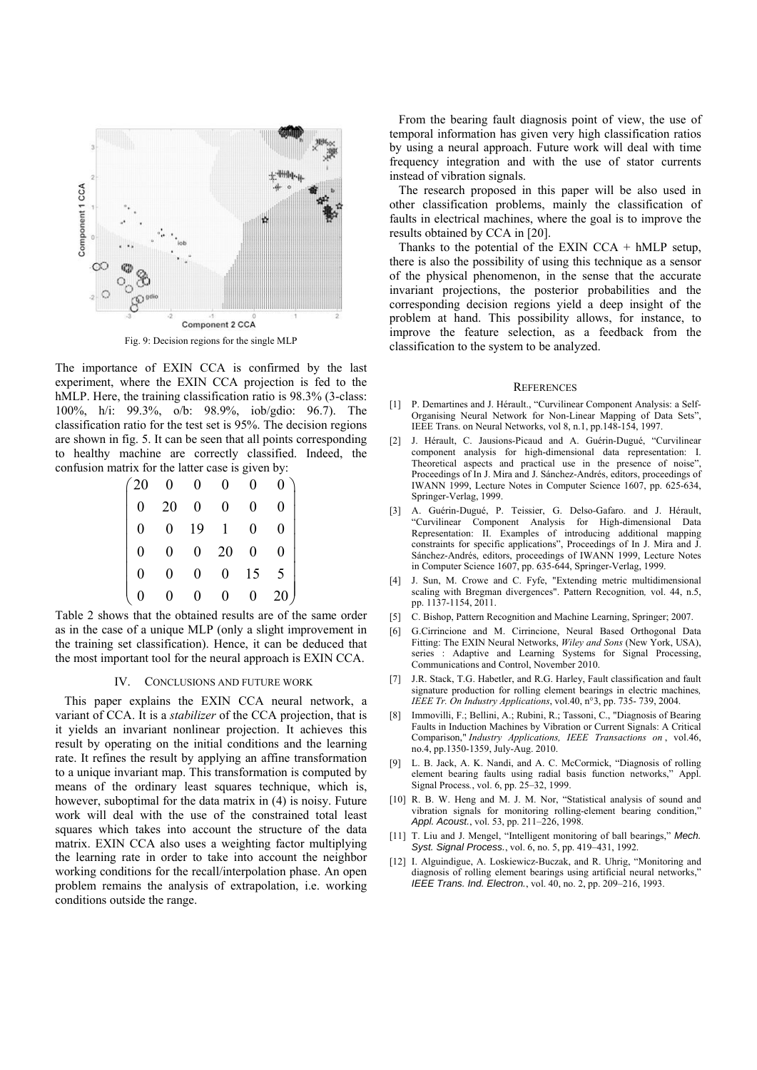

Fig. 9: Decision regions for the single MLP

The importance of EXIN CCA is confirmed by the last experiment, where the EXIN CCA projection is fed to the hMLP. Here, the training classification ratio is 98.3% (3-class: 100%, h/i: 99.3%, o/b: 98.9%, iob/gdio: 96.7). The classification ratio for the test set is 95%. The decision regions are shown in fig. 5. It can be seen that all points corresponding to healthy machine are correctly classified. Indeed, the confusion matrix for the latter case is given by:

| (20)             | $\mathbf{0}$   | $\mathbf{0}$   | $\overline{0}$ | $\mathbf{0}$   | $\overline{0}$ |
|------------------|----------------|----------------|----------------|----------------|----------------|
| $\mathbf{0}$     | 20             | $\mathbf{0}$   | $\overline{0}$ | $\overline{0}$ | $\overline{0}$ |
| $\overline{0}$   | $\overline{0}$ | 19             | 1              | $\overline{0}$ | $\overline{0}$ |
| $\boldsymbol{0}$ | $\mathbf{0}$   | $\overline{0}$ | 20             | $\overline{0}$ | $\overline{0}$ |
| $\boldsymbol{0}$ | $\overline{0}$ | $\overline{0}$ | $\overline{0}$ | 15             | 5              |
| $\overline{0}$   | $\mathbf{0}$   | $0^-$          | $\overline{0}$ | $\overline{0}$ | 20)            |

Table 2 shows that the obtained results are of the same order as in the case of a unique MLP (only a slight improvement in the training set classification). Hence, it can be deduced that the most important tool for the neural approach is EXIN CCA.

## IV. CONCLUSIONS AND FUTURE WORK

 This paper explains the EXIN CCA neural network, a variant of CCA. It is a *stabilizer* of the CCA projection, that is it yields an invariant nonlinear projection. It achieves this result by operating on the initial conditions and the learning rate. It refines the result by applying an affine transformation to a unique invariant map. This transformation is computed by means of the ordinary least squares technique, which is, however, suboptimal for the data matrix in (4) is noisy. Future work will deal with the use of the constrained total least squares which takes into account the structure of the data matrix. EXIN CCA also uses a weighting factor multiplying the learning rate in order to take into account the neighbor working conditions for the recall/interpolation phase. An open problem remains the analysis of extrapolation, i.e. working conditions outside the range.

 From the bearing fault diagnosis point of view, the use of temporal information has given very high classification ratios by using a neural approach. Future work will deal with time frequency integration and with the use of stator currents instead of vibration signals.

 The research proposed in this paper will be also used in other classification problems, mainly the classification of faults in electrical machines, where the goal is to improve the results obtained by CCA in [20].

Thanks to the potential of the EXIN CCA  $+$  hMLP setup, there is also the possibility of using this technique as a sensor of the physical phenomenon, in the sense that the accurate invariant projections, the posterior probabilities and the corresponding decision regions yield a deep insight of the problem at hand. This possibility allows, for instance, to improve the feature selection, as a feedback from the classification to the system to be analyzed.

#### **REFERENCES**

- [1] P. Demartines and J. Hérault., "Curvilinear Component Analysis: a Self-Organising Neural Network for Non-Linear Mapping of Data Sets", IEEE Trans. on Neural Networks, vol 8, n.1, pp.148-154, 1997.
- [2] J. Hérault, C. Jausions-Picaud and A. Guérin-Dugué, "Curvilinear component analysis for high-dimensional data representation: I. Theoretical aspects and practical use in the presence of noise", Proceedings of In J. Mira and J. Sánchez-Andrés, editors, proceedings of IWANN 1999, Lecture Notes in Computer Science 1607, pp. 625-634, Springer-Verlag, 1999.
- [3] A. Guérin-Dugué, P. Teissier, G. Delso-Gafaro. and J. Hérault, "Curvilinear Component Analysis for High-dimensional Data Representation: II. Examples of introducing additional mapping constraints for specific applications", Proceedings of In J. Mira and J. Sánchez-Andrés, editors, proceedings of IWANN 1999, Lecture Notes in Computer Science 1607, pp. 635-644, Springer-Verlag, 1999.
- [4] J. Sun, M. Crowe and C. Fyfe, "Extending metric multidimensional scaling with Bregman divergences". Pattern Recognition*,* vol. 44, n.5, pp. 1137-1154, 2011.
- [5] C. Bishop, Pattern Recognition and Machine Learning, Springer; 2007.
- [6] G.Cirrincione and M. Cirrincione, Neural Based Orthogonal Data Fitting: The EXIN Neural Networks, *Wiley and Sons* (New York, USA), series : Adaptive and Learning Systems for Signal Processing, Communications and Control, November 2010.
- [7] J.R. Stack, T.G. Habetler, and R.G. Harley, Fault classification and fault signature production for rolling element bearings in electric machines*, IEEE Tr. On Industry Applications*, vol.40, n°3, pp. 735- 739, 2004.
- [8] Immovilli, F.; Bellini, A.; Rubini, R.; Tassoni, C., "Diagnosis of Bearing Faults in Induction Machines by Vibration or Current Signals: A Critical Comparison," *Industry Applications, IEEE Transactions on* , vol.46, no.4, pp.1350-1359, July-Aug. 2010.
- [9] L. B. Jack, A. K. Nandi, and A. C. McCormick, "Diagnosis of rolling element bearing faults using radial basis function networks," Appl. Signal Process*.*, vol. 6, pp. 25–32, 1999.
- [10] R. B. W. Heng and M. J. M. Nor, "Statistical analysis of sound and vibration signals for monitoring rolling-element bearing condition," *Appl. Acoust.*, vol. 53, pp. 211–226, 1998.
- [11] T. Liu and J. Mengel, "Intelligent monitoring of ball bearings," *Mech. Syst. Signal Process.*, vol. 6, no. 5, pp. 419–431, 1992.
- [12] I. Alguindigue, A. Loskiewicz-Buczak, and R. Uhrig, "Monitoring and diagnosis of rolling element bearings using artificial neural networks," *IEEE Trans. Ind. Electron.*, vol. 40, no. 2, pp. 209–216, 1993.